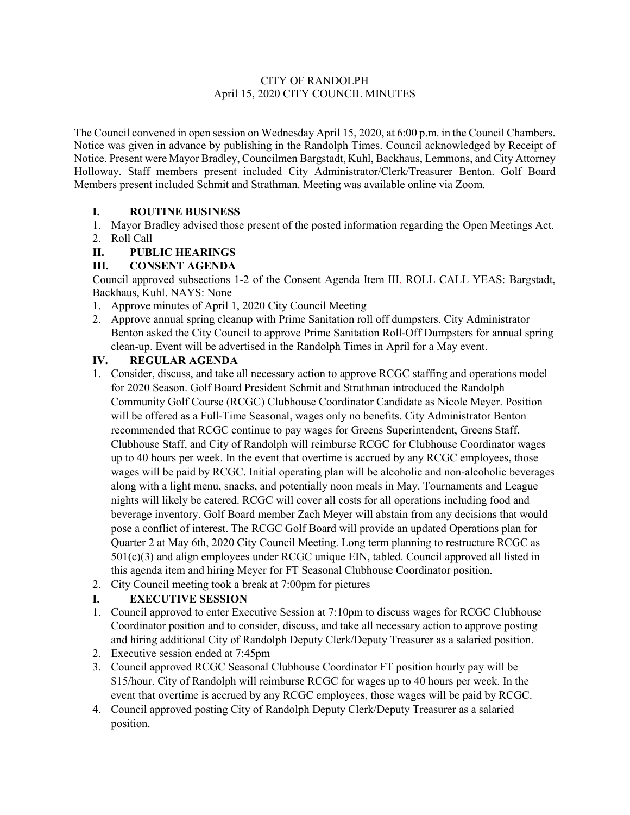### CITY OF RANDOLPH April 15, 2020 CITY COUNCIL MINUTES

The Council convened in open session on Wednesday April 15, 2020, at 6:00 p.m. in the Council Chambers. Notice was given in advance by publishing in the Randolph Times. Council acknowledged by Receipt of Notice. Present were Mayor Bradley, Councilmen Bargstadt, Kuhl, Backhaus, Lemmons, and City Attorney Holloway. Staff members present included City Administrator/Clerk/Treasurer Benton. Golf Board Members present included Schmit and Strathman. Meeting was available online via Zoom.

# **I. ROUTINE BUSINESS**

1. Mayor Bradley advised those present of the posted information regarding the Open Meetings Act. 2. Roll Call

### **II. PUBLIC HEARINGS**

### **III. CONSENT AGENDA**

Council approved subsections 1-2 of the Consent Agenda Item III. ROLL CALL YEAS: Bargstadt, Backhaus, Kuhl. NAYS: None

- 1. Approve minutes of April 1, 2020 City Council Meeting
- 2. Approve annual spring cleanup with Prime Sanitation roll off dumpsters. City Administrator Benton asked the City Council to approve Prime Sanitation Roll-Off Dumpsters for annual spring clean-up. Event will be advertised in the Randolph Times in April for a May event.

### **IV. REGULAR AGENDA**

- 1. Consider, discuss, and take all necessary action to approve RCGC staffing and operations model for 2020 Season. Golf Board President Schmit and Strathman introduced the Randolph Community Golf Course (RCGC) Clubhouse Coordinator Candidate as Nicole Meyer. Position will be offered as a Full-Time Seasonal, wages only no benefits. City Administrator Benton recommended that RCGC continue to pay wages for Greens Superintendent, Greens Staff, Clubhouse Staff, and City of Randolph will reimburse RCGC for Clubhouse Coordinator wages up to 40 hours per week. In the event that overtime is accrued by any RCGC employees, those wages will be paid by RCGC. Initial operating plan will be alcoholic and non-alcoholic beverages along with a light menu, snacks, and potentially noon meals in May. Tournaments and League nights will likely be catered. RCGC will cover all costs for all operations including food and beverage inventory. Golf Board member Zach Meyer will abstain from any decisions that would pose a conflict of interest. The RCGC Golf Board will provide an updated Operations plan for Quarter 2 at May 6th, 2020 City Council Meeting. Long term planning to restructure RCGC as 501(c)(3) and align employees under RCGC unique EIN, tabled. Council approved all listed in this agenda item and hiring Meyer for FT Seasonal Clubhouse Coordinator position.
- 2. City Council meeting took a break at 7:00pm for pictures

# **I. EXECUTIVE SESSION**

- 1. Council approved to enter Executive Session at 7:10pm to discuss wages for RCGC Clubhouse Coordinator position and to consider, discuss, and take all necessary action to approve posting and hiring additional City of Randolph Deputy Clerk/Deputy Treasurer as a salaried position.
- 2. Executive session ended at 7:45pm
- 3. Council approved RCGC Seasonal Clubhouse Coordinator FT position hourly pay will be \$15/hour. City of Randolph will reimburse RCGC for wages up to 40 hours per week. In the event that overtime is accrued by any RCGC employees, those wages will be paid by RCGC.
- 4. Council approved posting City of Randolph Deputy Clerk/Deputy Treasurer as a salaried position.